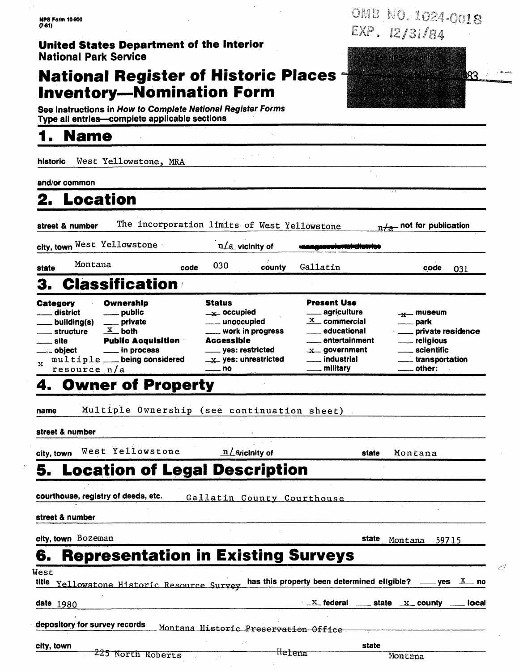# **National Register of Historic Places**

OMB NO. 1024-0018 EXP.  $12/31/84$ 

| West Yellowstone, MRA<br>historic<br>and/or common<br>2. Location<br>The incorporation limits of West Yellowstone<br>$n \neq$ not for publication<br>$n/a$ vicinity of<br>Montana<br>030<br>Gallatin<br>county<br>code<br>code<br>031<br><b>Classification</b><br><b>Present Use</b><br>Status<br>Ownership<br>____ agricuiture<br>district<br><u>_</u> ___ public<br>$\mathbf{u}$ occupied<br>$-x$ museum<br>$\mathbf{x}$ commercial<br>__ private<br>unoccupied<br>__ building(s)<br><u>__</u> __ park<br>$\frac{\mathbf{x}}{}$ both<br>___ work in progress<br>educational<br>____ private residence<br><sub>—</sub> structure<br><b>Accessible</b><br><b>Public Acquisition</b><br>__ entertainment<br>site<br><u>_</u> ___ religious<br>scientific<br>in process<br><sub>——</sub> yes: restricted<br>$x$ government<br>___ industrial<br>$multiple$ __ being considered<br>_transportation<br>$\mathbf{x}$ yes: unrestricted<br>military<br>other:<br>resource $n/a$<br>no<br>Multiple Ownership (see continuation sheet)<br>West Yellowstone<br>$n/$ avicinity of<br>Montana<br>state<br><b>Location of Legal Description</b><br>Gallatin County Courthouse<br>state<br>Montana 59715<br><b>Representation in Existing Surveys</b><br>has this property been determined eligible? ____ yes $X$<br>Yellowstone Historic Resource Survey | <b>Name</b>                          |  |                                              |                      |
|----------------------------------------------------------------------------------------------------------------------------------------------------------------------------------------------------------------------------------------------------------------------------------------------------------------------------------------------------------------------------------------------------------------------------------------------------------------------------------------------------------------------------------------------------------------------------------------------------------------------------------------------------------------------------------------------------------------------------------------------------------------------------------------------------------------------------------------------------------------------------------------------------------------------------------------------------------------------------------------------------------------------------------------------------------------------------------------------------------------------------------------------------------------------------------------------------------------------------------------------------------------------------------------------------------------------------------------------|--------------------------------------|--|----------------------------------------------|----------------------|
|                                                                                                                                                                                                                                                                                                                                                                                                                                                                                                                                                                                                                                                                                                                                                                                                                                                                                                                                                                                                                                                                                                                                                                                                                                                                                                                                              |                                      |  |                                              |                      |
|                                                                                                                                                                                                                                                                                                                                                                                                                                                                                                                                                                                                                                                                                                                                                                                                                                                                                                                                                                                                                                                                                                                                                                                                                                                                                                                                              |                                      |  |                                              |                      |
|                                                                                                                                                                                                                                                                                                                                                                                                                                                                                                                                                                                                                                                                                                                                                                                                                                                                                                                                                                                                                                                                                                                                                                                                                                                                                                                                              |                                      |  |                                              |                      |
| city, town West Yellowstone                                                                                                                                                                                                                                                                                                                                                                                                                                                                                                                                                                                                                                                                                                                                                                                                                                                                                                                                                                                                                                                                                                                                                                                                                                                                                                                  | street & number                      |  |                                              |                      |
| state                                                                                                                                                                                                                                                                                                                                                                                                                                                                                                                                                                                                                                                                                                                                                                                                                                                                                                                                                                                                                                                                                                                                                                                                                                                                                                                                        |                                      |  |                                              |                      |
|                                                                                                                                                                                                                                                                                                                                                                                                                                                                                                                                                                                                                                                                                                                                                                                                                                                                                                                                                                                                                                                                                                                                                                                                                                                                                                                                              |                                      |  |                                              |                      |
|                                                                                                                                                                                                                                                                                                                                                                                                                                                                                                                                                                                                                                                                                                                                                                                                                                                                                                                                                                                                                                                                                                                                                                                                                                                                                                                                              |                                      |  |                                              |                      |
| <b>4. Owner of Property</b><br>name<br>street & number<br>city, town<br>courthouse, registry of deeds, etc.<br>street & number<br>city, town Bozeman<br>6.<br>West                                                                                                                                                                                                                                                                                                                                                                                                                                                                                                                                                                                                                                                                                                                                                                                                                                                                                                                                                                                                                                                                                                                                                                           | Category<br><u>__</u> __ object<br>x |  |                                              |                      |
|                                                                                                                                                                                                                                                                                                                                                                                                                                                                                                                                                                                                                                                                                                                                                                                                                                                                                                                                                                                                                                                                                                                                                                                                                                                                                                                                              |                                      |  |                                              |                      |
|                                                                                                                                                                                                                                                                                                                                                                                                                                                                                                                                                                                                                                                                                                                                                                                                                                                                                                                                                                                                                                                                                                                                                                                                                                                                                                                                              |                                      |  |                                              |                      |
|                                                                                                                                                                                                                                                                                                                                                                                                                                                                                                                                                                                                                                                                                                                                                                                                                                                                                                                                                                                                                                                                                                                                                                                                                                                                                                                                              |                                      |  |                                              |                      |
|                                                                                                                                                                                                                                                                                                                                                                                                                                                                                                                                                                                                                                                                                                                                                                                                                                                                                                                                                                                                                                                                                                                                                                                                                                                                                                                                              |                                      |  |                                              |                      |
|                                                                                                                                                                                                                                                                                                                                                                                                                                                                                                                                                                                                                                                                                                                                                                                                                                                                                                                                                                                                                                                                                                                                                                                                                                                                                                                                              |                                      |  |                                              |                      |
|                                                                                                                                                                                                                                                                                                                                                                                                                                                                                                                                                                                                                                                                                                                                                                                                                                                                                                                                                                                                                                                                                                                                                                                                                                                                                                                                              |                                      |  |                                              |                      |
|                                                                                                                                                                                                                                                                                                                                                                                                                                                                                                                                                                                                                                                                                                                                                                                                                                                                                                                                                                                                                                                                                                                                                                                                                                                                                                                                              |                                      |  |                                              |                      |
|                                                                                                                                                                                                                                                                                                                                                                                                                                                                                                                                                                                                                                                                                                                                                                                                                                                                                                                                                                                                                                                                                                                                                                                                                                                                                                                                              |                                      |  |                                              |                      |
|                                                                                                                                                                                                                                                                                                                                                                                                                                                                                                                                                                                                                                                                                                                                                                                                                                                                                                                                                                                                                                                                                                                                                                                                                                                                                                                                              |                                      |  |                                              |                      |
|                                                                                                                                                                                                                                                                                                                                                                                                                                                                                                                                                                                                                                                                                                                                                                                                                                                                                                                                                                                                                                                                                                                                                                                                                                                                                                                                              |                                      |  |                                              |                      |
|                                                                                                                                                                                                                                                                                                                                                                                                                                                                                                                                                                                                                                                                                                                                                                                                                                                                                                                                                                                                                                                                                                                                                                                                                                                                                                                                              |                                      |  |                                              |                      |
|                                                                                                                                                                                                                                                                                                                                                                                                                                                                                                                                                                                                                                                                                                                                                                                                                                                                                                                                                                                                                                                                                                                                                                                                                                                                                                                                              | title<br><b>date</b> 1980            |  | <b>X</b> federal <b>ACCEL</b> state X county | _ no<br><b>local</b> |

| city, town |                   |        | state   |
|------------|-------------------|--------|---------|
|            | 225 North Roberts | nerena | Montana |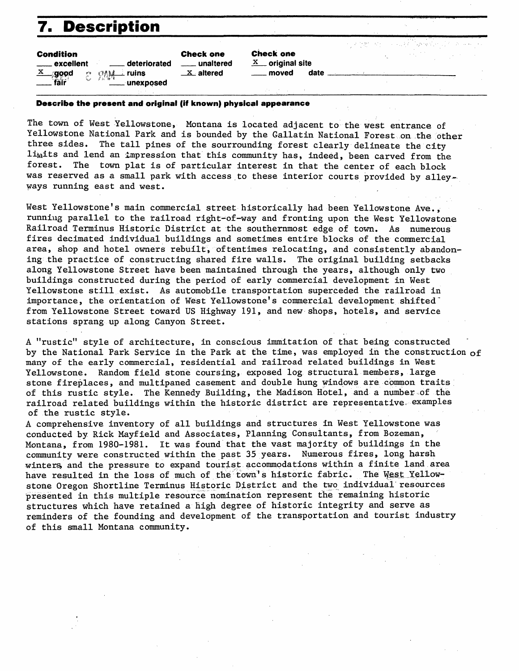## **7. Description**

| <b>Condition</b> |  |  |
|------------------|--|--|
|------------------|--|--|

| vvnumuvn                 |                                                            |
|--------------------------|------------------------------------------------------------|
| ____ excellent           | <u>__</u> __ deteriorated                                  |
| $\frac{\text{x}}{}$ good | $\mathbb{C}$ $\mathbb{R}$ $\mathbb{N}$ $\rightarrow$ ruins |
| fair                     | <u>Communexposed</u>                                       |

**Check one**  \_\_ **unaltered**   $X$  altered

**check one**  <sup>~</sup>**original site** \_\_ **moved date** \_\_\_\_\_\_\_\_\_\_\_\_ \_

#### **Describe the present and original (if known) physical appearance**

The town of West Yellowstone, Montana is located adjacent to the west entrance of Yellowstone National Park and is bounded by the Gallatin National Forest on the other three sides. The tall pines of the sourrounding forest clearly delineate the city  $l$ imits and lend an impression that this community has, indeed, been carved from the forest. The town plat is of particular interest in that the center of each block The town plat is of particular interest in that the center of each block was reserved as a small park with access to these interior courts provided by alley-ways running east and west.

West Yellowstone's main commercial street historically had been Yellowstone Ave., running parallel to the railroad right-of-way and fronting upon the West Yellowstone Railroad Terminus Historic District at the southernmost edge of town. As numerous fires decimated individual buildings and sometimes entire blocks of the commercial area, shop and hotel owners rebuilt, oftentimes relocating, and consistently abandoning the practice of constructing shared fire walls. The original building setbacks along Yellowstone Street have been maintained through the years, although only two buildings constructed during the period of early commercial development in West Yellowstone still exist. As automobile transportation superceded the railroad in importance, the orientation of West Yellowstone's commercial development shifted<sup>-</sup> from Yellowstone Street toward US Highway 191, and new-shops, hotels, and service stations sprang up along Canyon Street.

A "rustic" style of architecture, in conscious immitation of that being constructed by the National Park Service in the Park at the time, was employed in the construction  $of$ many of the early commercial, residential and railroad related buildings in West Yellowstone. Random field stone coursing, exposed log structural members, large stone fireplaces, and multipaned casement and double hung windows are common traits of this rustic style. The Kennedy Building, the Madison Hotel, and a number of the railroad related buildings within the historic district are representative. examples of .the rustic style.

A comprehensive inventory of all buildings and structures in West Yellowstone was conducted hy Rick Mayfield and Associates, Planning Consultants, from Bozeman, Montana, from 1980-1981. It was found.that the vast majority of buildings in the community were constructed within the past 35 years. Numerous fires, long harsh winters and the pressure to expand tourist accommodations within a finite land area have resulted in the loss of much of the town's historic fabric. The West Yellowstone Oregon Shortline Terminus Historic District and the two individual resources presented in this multiple resource nomination represent the remaining historic structures which have retained a high degree of historic integrity and serve as reminders of the founding and development of the transportation and tourist industry of this small Montana community.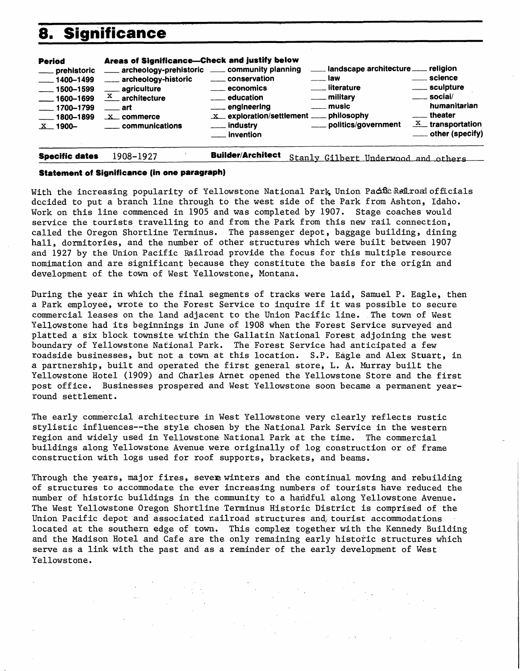## **8. Significance**

| <b>Period</b><br>___ prehistoric<br>$-1400 - 1499$<br>$\frac{1}{2}$ 1500–1599<br>$\frac{1600 - 1699}{1600 - 1699}$<br>$\frac{1700 - 1799}{2}$<br>$-1800 - 1899$<br>$X$ 1900- | Areas of Significance-Check and justify below<br>archeology-prehistoric _____ community planning<br>archeology-historic<br><u>__</u> __ agriculture<br>$\frac{X}{X}$ architecture<br>$\equiv$ art<br>$X$ commerce<br>communications | _____ conservation<br><u>__</u> economics<br><u>__</u> ___ education<br>____ engineering<br>____ industry<br>— invention | landscape architecture ___ religion<br>. Iaw<br><u>__</u> _ literature<br>___ military<br>___ music<br>x exploration/settlement __ philosophy<br>____ politics/government | <u>__</u> __ science<br>____ sculpture<br>____ sociai/<br>humanitarian<br>____ theater<br>$X$ transportation<br>____ other (specify) |
|------------------------------------------------------------------------------------------------------------------------------------------------------------------------------|-------------------------------------------------------------------------------------------------------------------------------------------------------------------------------------------------------------------------------------|--------------------------------------------------------------------------------------------------------------------------|---------------------------------------------------------------------------------------------------------------------------------------------------------------------------|--------------------------------------------------------------------------------------------------------------------------------------|
| <b>Specific dates</b>                                                                                                                                                        | 1908-1927                                                                                                                                                                                                                           | <b>Builder/Architect</b>                                                                                                 | Stanly Gilbert Underwood and others                                                                                                                                       |                                                                                                                                      |

#### **Statement of Significance (in one paragraph)**

With the increasing popularity of Yellowstone National Park, Union Pacific Refiroad officials decided to put a branch line through to the west side of the Park from Ashton, Idaho. Work on this line commenced in 1905 and was completed by 1907. Stage coaches would service the tourists travelling to and from the Park from this new rail connection, called the Oregon Shortline Terminus. The passenger depot, baggage building, dining hall, dormitories, and the number of other structures which were built between 1907 and 1927 by the Union Pacific Railroad provide the focus for this multiple resource nomimation and are significant because they constitute the basis for the origin and development of the town of West Yellowstone, Montana.

During the year in which the final segments of tracks were laid, Samuel P. Eagle, then a Park employee, wrote to the Forest Service to inquire if it was possible to secure commercial leases on the land adjacent to the Union Pacific line. The town of West Yellowstone had its beginnings in June of 1908 when the Forest Service surveyed and platted a six block townsite within the Gallatin National Forest adjoining the west boundary of Yellowstone National Park. The Forest Service had anticipated a few roadside businesses, but not a town at this location. S.P. Eagle and Alex Stuart, in a partnership, built and operated the first general store, L.A. Murray built the Yellowstone Hotel (1909) and Charles Arnet opened the Yellowstone Store and the first post office. Businesses prospered and West Yellowstone soon became a permanent yearround settlement.

The early commercial architecture in West Yellowstone very clearly reflects rustic stylistic influences--the style chosen by the National Park Service in the western region and widely used in Yellowstone National Park at the time. The commercial buildings along Yellowstone Avenue were originally of log construction or of frame construction with logs used for roof supports, brackets, and beams.

Through the years, major fires, sever winters and the continual moving and rebuilding of structures to accommodate the ever increasing numbers of tourists have reduced the number of historic buildings in the community to a handful along Yellowstone Avenue. The West Yellowstone Oregon Shortline Terminus Historic District is comprised of the Union Pacific depot and associated railroad structures and tourist accommodations located at the southern edge of town. This complex together with the Kennedy Building and the Madison Hotel and Cafe are the only remaining early historic structures which serve as a link with the past and as a reminder of the early development of West Yellowstone.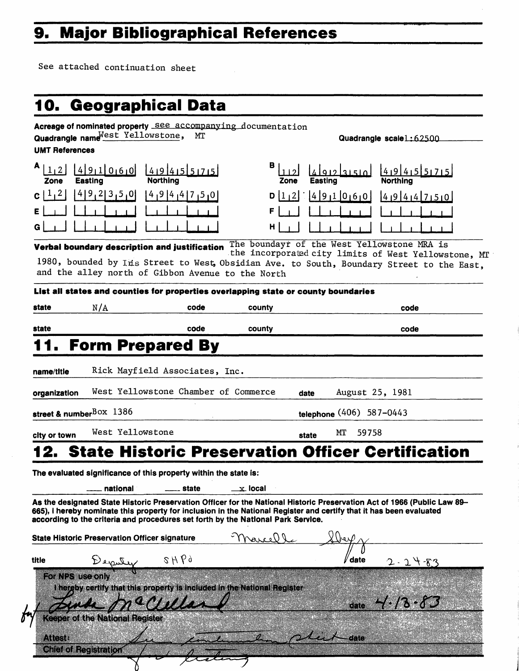## **9. Major Bibliographical References**

 $\sqrt{ }$ 

See attached continuation sheet

| <b>UMT References</b>    | Quadrangle name Nest Yellowstone,                                                                                        | Acreage of nominated property See accompanying documentation<br>MТ                                                                                                                                      |           |                          | Quadrangle scale 1:62500                                                                                                                                                                         |
|--------------------------|--------------------------------------------------------------------------------------------------------------------------|---------------------------------------------------------------------------------------------------------------------------------------------------------------------------------------------------------|-----------|--------------------------|--------------------------------------------------------------------------------------------------------------------------------------------------------------------------------------------------|
| 1 <sub>1</sub> 2<br>Zone | 491000<br>Easting                                                                                                        | 14191415151715<br><b>Northing</b>                                                                                                                                                                       | Zone      | 315101<br>Easting        | 14191415151715<br>Northing                                                                                                                                                                       |
| 1, 2 <br>c               | 49,23,5,0                                                                                                                | $ 4 $ 9 $ 4 4 7 5 0 $                                                                                                                                                                                   | D         | $112  $ $ 491060$        | 4944750                                                                                                                                                                                          |
|                          |                                                                                                                          |                                                                                                                                                                                                         | н         |                          |                                                                                                                                                                                                  |
|                          |                                                                                                                          | Verbal boundary description and justification<br>and the alley north of Gibbon Avenue to the North                                                                                                      |           |                          | The boundayr of the West Yellowstone MRA is<br>the incorporated city limits of West Yellowstone, MT<br>1980, bounded by Ins Street to West, Obsidian Ave. to South, Boundary Street to the East, |
| state                    | N/A                                                                                                                      | List all states and counties for properties overlapping state or county boundaries<br>code                                                                                                              | county    |                          | code                                                                                                                                                                                             |
| state                    |                                                                                                                          | code                                                                                                                                                                                                    | county    |                          | code                                                                                                                                                                                             |
|                          |                                                                                                                          | <b>Form Prepared By</b>                                                                                                                                                                                 |           |                          |                                                                                                                                                                                                  |
| name/title               |                                                                                                                          | Rick Mayfield Associates, Inc.                                                                                                                                                                          |           |                          |                                                                                                                                                                                                  |
| organization             |                                                                                                                          | West Yellowstone Chamber of Commerce                                                                                                                                                                    |           | date                     | August 25, 1981                                                                                                                                                                                  |
|                          | street & number <sup>BOX</sup> 1386                                                                                      |                                                                                                                                                                                                         |           | telephone (406) 587-0443 |                                                                                                                                                                                                  |
| city or town             | West Yellowstone                                                                                                         |                                                                                                                                                                                                         |           | MT<br>59758<br>state     |                                                                                                                                                                                                  |
|                          |                                                                                                                          |                                                                                                                                                                                                         |           |                          | <b>State Historic Preservation Officer Certification</b>                                                                                                                                         |
|                          |                                                                                                                          | The evaluated significance of this property within the state is:                                                                                                                                        |           |                          |                                                                                                                                                                                                  |
|                          | national                                                                                                                 | state                                                                                                                                                                                                   | __x local |                          |                                                                                                                                                                                                  |
|                          |                                                                                                                          |                                                                                                                                                                                                         |           |                          |                                                                                                                                                                                                  |
|                          | As the designated State Historic Preservation Officer for the National Historic Preservation Act of 1966 (Public Law 89- | 665), I hereby nominate this property for inclusion in the National Register and certify that it has been evaluated<br>according to the criteria and procedures set forth by the National Park Service. |           |                          |                                                                                                                                                                                                  |
|                          | <b>State Historic Preservation Officer signature</b>                                                                     |                                                                                                                                                                                                         | Marcelle  |                          |                                                                                                                                                                                                  |
|                          |                                                                                                                          | 8Hb9                                                                                                                                                                                                    |           | date                     | $2 - 24 - 83$                                                                                                                                                                                    |
| For NPS use only         | Deputy                                                                                                                   | I hereby certify that this property is included in the National Register                                                                                                                                |           |                          |                                                                                                                                                                                                  |
| title                    | <b>Keeper of the National Register</b>                                                                                   | achilla                                                                                                                                                                                                 |           | date                     | $4.13 - 83$                                                                                                                                                                                      |
| <b>Attest:</b>           | <b>Chief of Registration</b>                                                                                             |                                                                                                                                                                                                         |           | date                     |                                                                                                                                                                                                  |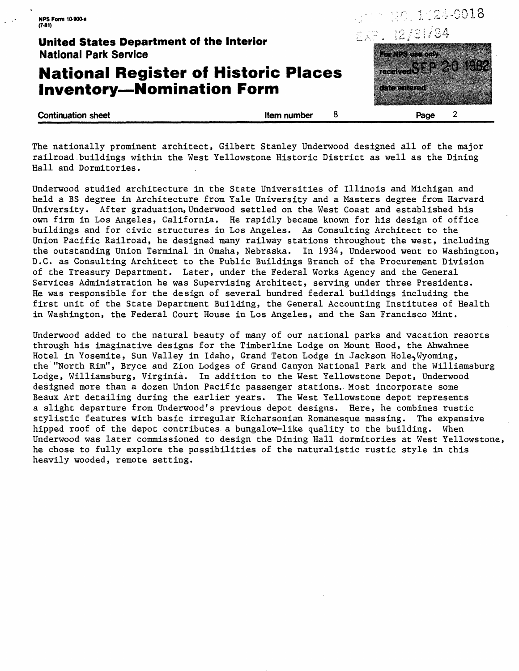## **National Register of Historic Places Inventory-Nomination Form**



**Continuation sheet Continuation in the Continuation sheet Algebra 2 Structure 2 Structure 2 Structure 3 Structure 3 Structure 3 Structure 3 Structure 3 Structure 3 Structure 3 Structure 3 Structure 3 Structure 3 Structure** 

date entered

The nationally prominent architect, Gilbert Stanley Underwood designed all of the major railroad buildings within the West Yellowstone Historic District as well as the Dining Hall and Dormitories.

Underwood studied architecture in the State Universities of Illinois and Michigan and held a BS degree in Architecture from Yale University and a Masters degree from Harvard University. After graduation, Underwood settled on the West Coast and established his own firm in Los Angeles, California. He rapidly became known for his design of office buildings and for civic structures in Los Angeles. As Consulting Architect to the Union Pacific Railroad, he designed many railway stations throughout the west, including the outstanding Union Terminal in Omaha, Nebraska. In 1934, Underwood went to Washington, D.C. as Consulting Architect to the Public Buildings Branch of the Procurement Division of the Treasury Department. Later, under the Federal Works Agency and the General Services Administration he was Supervising Architect, serving under three Presidents. He was responsible for the design of several hundred federal buildings including the first unit of the State Department Building, the General Accounting Institutes of Health in Washington, the Federal Court House in Los Angeles, and the San Francisco Mint.

Underwood added to the natural beauty of many of our national parks and vacation resorts through his imaginative designs for the Timberline Lodge on Mount Hood, the Ahwahnee Hotel in Yosemite, Sun Valley in Idaho, Grand Teton Lodge in Jackson Hole~Wyoming, the "North Rim", Bryce and Zion Lodges of Grand Canyon National Park and the Williamsburg Lodge, Williamsburg, Virginia. In addition to the West Yellowstone Depot, Underwood designed more than a dozen Union Pacific passenger stations. Most incorporate some Beaux Art detailing during the earlier years. The West Yellowstone depot represents a slight departure from Underwood's previous depot designs. Here, he combines rustic stylistic features with basic irregular Richarsonian Romanesque massing. The expansive hipped roof of the depot contributes.a bungalow-like quality to the building. When Underwood was later commissioned to design the Dining Hall dormitories at West Yellowstone, he chose to fully explore the possibilities of the naturalistic rustic style in this heavily wooded, remote setting.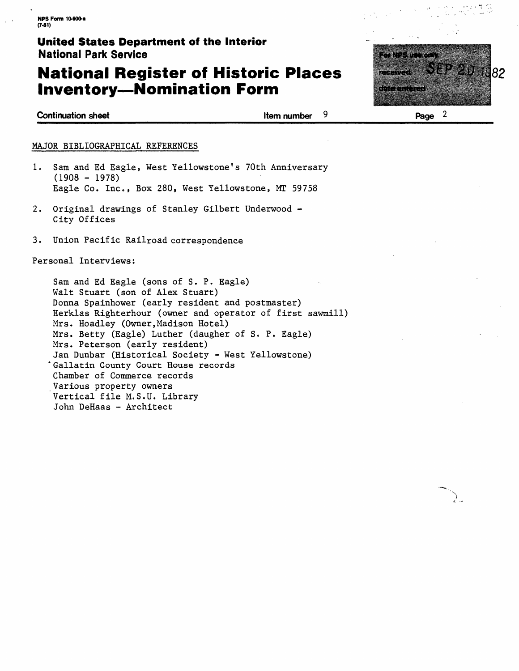## **National Register of Historic Places Inventory-Nomination Form**



**Continuation sheet Continuation sheet** Item number **9** 

#### MAJOR BIBLIOGRAPHICAL REFERENCES

- 1. Sam and Ed Eagle, West Yellowstone's 70th Anniversary  $(1908 - 1978)$ Eagle Co. Inc., Box 280, West Yellowstone, MT 59758
- 2. Original drawings of Stanley Gilbert Underwood City Offices
- 3. Union Pacific Railroad correspondence

#### Personal Interviews:

Sam and Ed Eagle (sons of S. P. Eagle) Walt Stuart (son of Alex Stuart) Donna Spainhower (early resident and postmaster) Herklas Righterhour (owner and operator of first sawmill) Mrs. Hoadley (Owner, Madison Hotel) Mrs. Betty (Eagle) Luther (daugher of S. P. Eagle) Mrs. Peterson (early resident) Jan Dunbar (Historical Society - West Yellowstone) •Gallatin County Court House records Chamber of Commerce records Various property owners Vertical file M.S.U. Library John DeHaas - Architect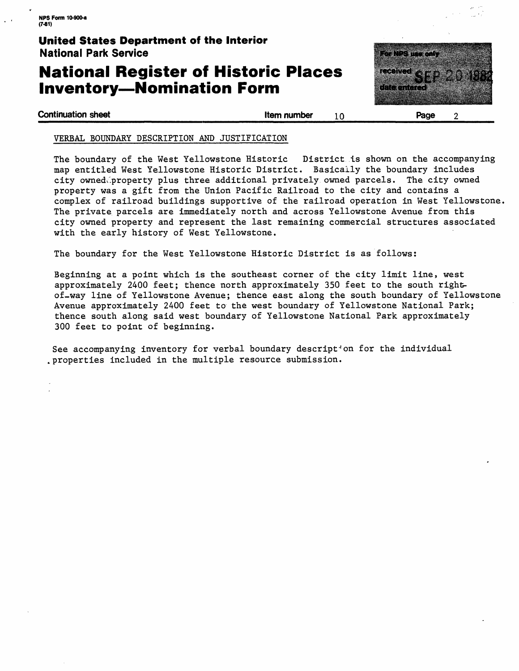## **National Register of Historic Places Inventory-Nomination Form**



**Continuation sheet Item number** 10

**Page** 2

#### VERBAL BOUNDARY DESCRIPTION AND JUSTIFICATION

The boundary of the West Yellowstone Historic District is shown on the accompanying map entitled West Yellowstone Historic District. Basically the boundary includes city owned(~property plus three additional privately. owned parcels. The city owned property was a gift from the Union Pacific Railroad to the city and contains a complex of railroad buildings supportive of the railroad operation in West Yellowstone. The private parcels are immediately north and across Yellowstone Avenue from this city owned property and represent the last remaining commercial structures associated with the early history of West Yellowstone.

The boundary for the West Yellowstone Historic District is as follows:

Beginning at a point which is the southeast corner of the city limit line, west approximately 2400 feet; thence north approximately 350 feet to the south rightof-way line of Yellowstone Avenue; thence east along the south boundary of Yellowstone Avenue approximately 2400 feet to the west boundary of Yellowstone National Park; thence south along said west boundary of Yellowstone National Park approximately 300 feet to point of beginning.

See accompanying inventory for verbal boundary descript<sup>ton</sup> for the individual .properties included in the multiple resource submission.